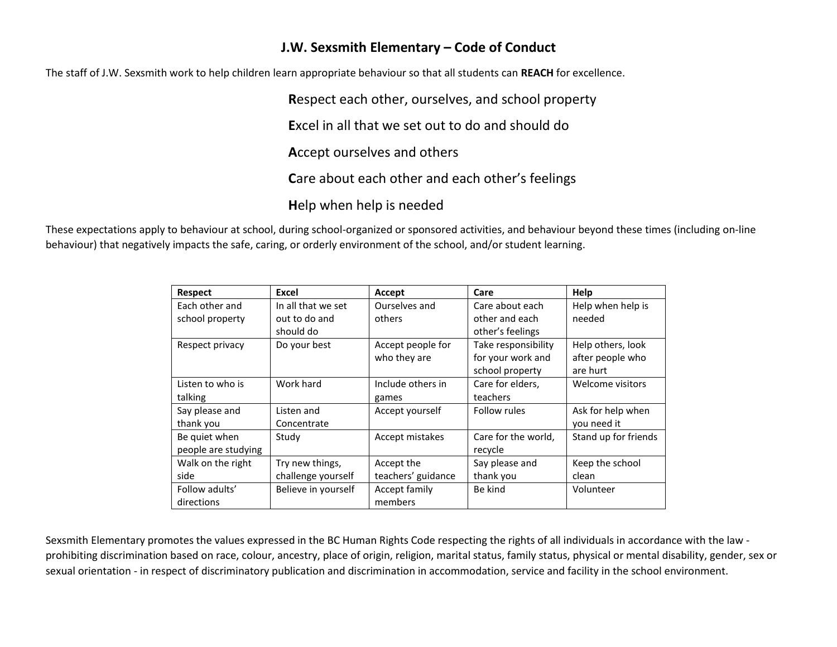## **J.W. Sexsmith Elementary – Code of Conduct**

The staff of J.W. Sexsmith work to help children learn appropriate behaviour so that all students can **REACH** for excellence.

**R**espect each other, ourselves, and school property **E**xcel in all that we set out to do and should do **A**ccept ourselves and others **C**are about each other and each other's feelings **H**elp when help is needed

These expectations apply to behaviour at school, during school-organized or sponsored activities, and behaviour beyond these times (including on-line behaviour) that negatively impacts the safe, caring, or orderly environment of the school, and/or student learning.

| <b>Respect</b>      | Excel               | Accept             | Care                | Help                 |
|---------------------|---------------------|--------------------|---------------------|----------------------|
| Each other and      | In all that we set  | Ourselves and      | Care about each     | Help when help is    |
| school property     | out to do and       | others             | other and each      | needed               |
|                     | should do           |                    | other's feelings    |                      |
| Respect privacy     | Do your best        | Accept people for  | Take responsibility | Help others, look    |
|                     |                     | who they are       | for your work and   | after people who     |
|                     |                     |                    | school property     | are hurt             |
| Listen to who is    | Work hard           | Include others in  | Care for elders,    | Welcome visitors     |
| talking             |                     | games              | teachers            |                      |
| Say please and      | Listen and          | Accept yourself    | Follow rules        | Ask for help when    |
| thank you           | Concentrate         |                    |                     | you need it          |
| Be quiet when       | Study               | Accept mistakes    | Care for the world, | Stand up for friends |
| people are studying |                     |                    | recycle             |                      |
| Walk on the right   | Try new things,     | Accept the         | Say please and      | Keep the school      |
| side                | challenge yourself  | teachers' guidance | thank you           | clean                |
| Follow adults'      | Believe in yourself | Accept family      | Be kind             | Volunteer            |
| directions          |                     | members            |                     |                      |

Sexsmith Elementary promotes the values expressed in the BC Human Rights Code respecting the rights of all individuals in accordance with the law prohibiting discrimination based on race, colour, ancestry, place of origin, religion, marital status, family status, physical or mental disability, gender, sex or sexual orientation - in respect of discriminatory publication and discrimination in accommodation, service and facility in the school environment.